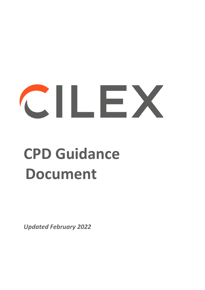# CILEX

# **CPD Guidance Document**

*Updated February 2022*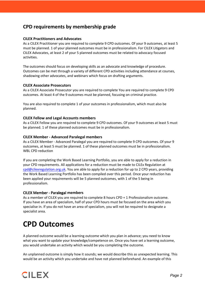#### **CPD requirements by membership grade**

#### **CILEX Practitioners and Advocates**

As a CILEX Practitioner you are required to complete 9 CPD outcomes. Of your 9 outcomes, at least 5 must be planned. 1 of your planned outcomes must be in professionalism. For CILEX Litigators and CILEX Advocates, at least 2 of your 5 planned outcomes must be related to advocacy focused activities.

The outcomes should focus on developing skills as an advocate and knowledge of procedure. Outcomes can be met through a variety of different CPD activities including attendance at courses, shadowing other advocates, and webinars which focus on drafting arguments.

#### **CILEX Associate Prosecutors**

As a CILEX Associate Prosecutor you are required to complete You are required to complete 9 CPD outcomes. At least 4 of the 9 outcomes must be planned, focusing on criminal practice.

You are also required to complete 1 of your outcomes in professionalism, which must also be planned.

#### **CILEX Fellow and Legal Accounts members**

As a CILEX Fellow you are required to complete 9 CPD outcomes. Of your 9 outcomes at least 5 must be planned. 1 of these planned outcomes must be in professionalism.

#### **CILEX Member - Advanced Paralegal members**

As a CILEX Member - Advanced Paralegal you are required to complete 9 CPD outcomes. Of your 9 outcomes, at least 5 must be planned. 1 of these planned outcomes must be in professionalism. WBL CPD reduction

If you are completing the Work Based Learning Portfolio, you are able to apply for a reduction in your CPD requirements. All applications for a reduction must be made to CILEx Regulation at cpd@cilexregulation.org.uk. You are able to apply for a reduction for up to 2 CPD years, providing the Work Based Learning Portfolio has been compiled over this period. Once your reduction has been applied your requirements will be 5 planned outcomes, with 1 of the 5 being in professionalism.

#### CILEX Member - Paralegal **members**

As a member of CILEX you are required to complete 8 hours CPD + 1 Professionalism outcome. If you have an area of specialism, half of your CPD hours must be focused on the area which you specialise in. If you do not have an area of specialism, you will not be required to designate a specialist area.

### **CPD Outcomes**

A planned outcome would be a learning outcome which you plan in advance; you need to know what you want to update your knowledge/competence on. Once you have set a learning outcome, you would undertake an activity which would be you completing the outcome.

An unplanned outcome is simply how it sounds; we would describe this as unexpected learning. This would be an activity which you undertake and have not planned beforehand. An example of this